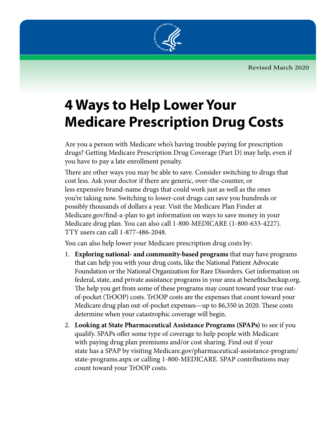Revised March 2020



## **4 Ways to Help Lower Your Medicare Prescription Drug Costs**

Are you a person with Medicare who's having trouble paying for prescription drugs? Getting Medicare Prescription Drug Coverage (Part D) may help, even if you have to pay a late enrollment penalty.

There are other ways you may be able to save. Consider switching to drugs that cost less. Ask your doctor if there are generic, over-the-counter, or less expensive brand-name drugs that could work just as well as the ones you're taking now. Switching to lower-cost drugs can save you hundreds or possibly thousands of dollars a year. Visit the Medicare Plan Finder at [Medicare.gov/find-a-plan](https://www.medicare.gov/find-a-plan/questions/home.aspx) to get information on ways to save money in your Medicare drug plan. You can also call 1-800-MEDICARE (1-800-633-4227). TTY users can call 1-877-486-2048.

You can also help lower your Medicare prescription drug costs by:

- 1. **Exploring national- and community-based programs** that may have programs that can help you with your drug costs, like the National Patient Advocate Foundation or the National Organization for Rare Disorders. Get information on federal, state, and private assistance programs in your area at [benefitscheckup.org](https://www.benefitscheckup.org/). The help you get from some of these programs may count toward your true outof-pocket (TrOOP) costs. TrOOP costs are the expenses that count toward your Medicare drug plan out-of-pocket expenses—up to \$6,350 in 2020. These costs determine when your catastrophic coverage will begin.
- 2. **Looking at State Pharmaceutical Assistance Programs (SPAPs)** to see if you qualify. SPAPs offer some type of coverage to help people with Medicare with paying drug plan premiums and/or cost sharing. Find out if your state has a SPAP by visiting [Medicare.gov/pharmaceutical-assistance-program/](http://www.medicare.gov/pharmaceutical-assistance-program/state-programs.aspx) [state-programs.aspx](http://www.medicare.gov/pharmaceutical-assistance-program/state-programs.aspx) or calling 1-800-MEDICARE. SPAP contributions may count toward your TrOOP costs.